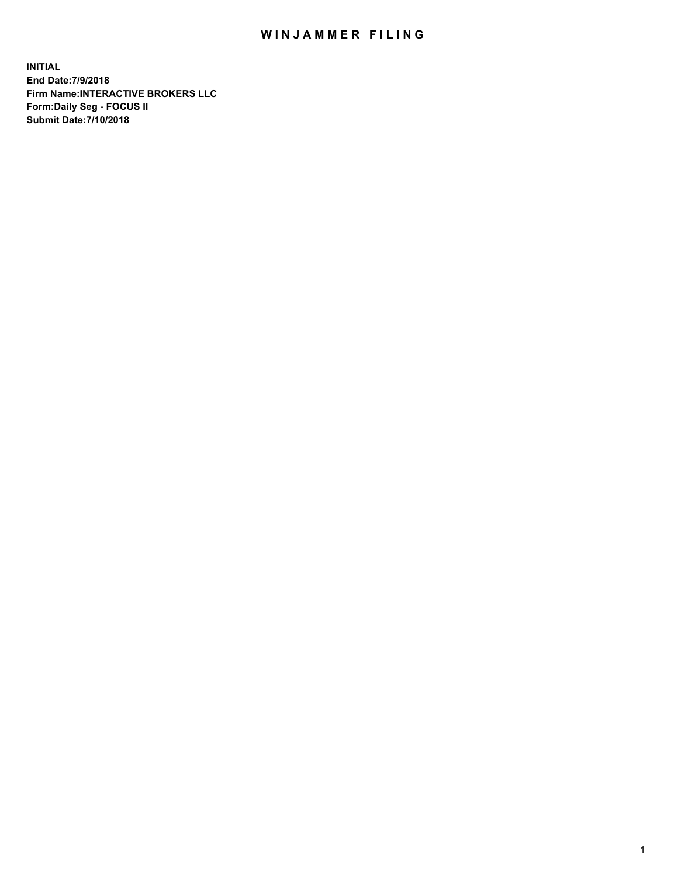## WIN JAMMER FILING

**INITIAL End Date:7/9/2018 Firm Name:INTERACTIVE BROKERS LLC Form:Daily Seg - FOCUS II Submit Date:7/10/2018**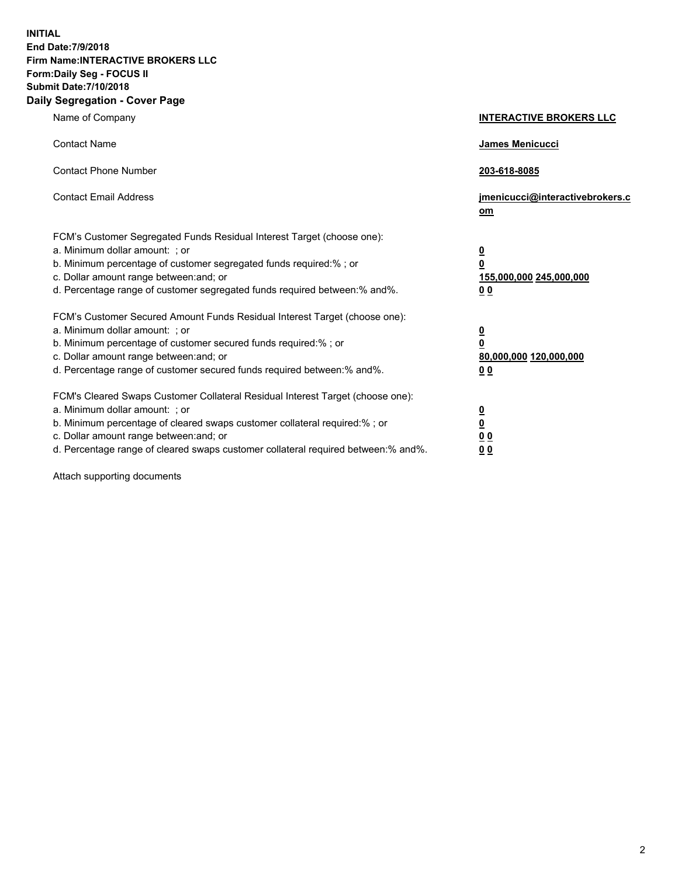**INITIAL End Date:7/9/2018 Firm Name:INTERACTIVE BROKERS LLC Form:Daily Seg - FOCUS II Submit Date:7/10/2018 Daily Segregation - Cover Page**

| Name of Company                                                                                                                                                                                                                                                                                                                | <b>INTERACTIVE BROKERS LLC</b>                                                                  |
|--------------------------------------------------------------------------------------------------------------------------------------------------------------------------------------------------------------------------------------------------------------------------------------------------------------------------------|-------------------------------------------------------------------------------------------------|
| <b>Contact Name</b>                                                                                                                                                                                                                                                                                                            | James Menicucci                                                                                 |
| <b>Contact Phone Number</b>                                                                                                                                                                                                                                                                                                    | 203-618-8085                                                                                    |
| <b>Contact Email Address</b>                                                                                                                                                                                                                                                                                                   | jmenicucci@interactivebrokers.c<br>om                                                           |
| FCM's Customer Segregated Funds Residual Interest Target (choose one):<br>a. Minimum dollar amount: ; or<br>b. Minimum percentage of customer segregated funds required:% ; or<br>c. Dollar amount range between: and; or<br>d. Percentage range of customer segregated funds required between:% and%.                         | $\overline{\mathbf{0}}$<br>$\overline{\mathbf{0}}$<br>155,000,000 245,000,000<br>0 <sub>0</sub> |
| FCM's Customer Secured Amount Funds Residual Interest Target (choose one):<br>a. Minimum dollar amount: ; or<br>b. Minimum percentage of customer secured funds required:% ; or<br>c. Dollar amount range between: and; or<br>d. Percentage range of customer secured funds required between:% and%.                           | $\overline{\mathbf{0}}$<br>0<br>80,000,000 120,000,000<br>0 <sub>0</sub>                        |
| FCM's Cleared Swaps Customer Collateral Residual Interest Target (choose one):<br>a. Minimum dollar amount: ; or<br>b. Minimum percentage of cleared swaps customer collateral required:% ; or<br>c. Dollar amount range between: and; or<br>d. Percentage range of cleared swaps customer collateral required between:% and%. | $\overline{\mathbf{0}}$<br><u>0</u><br>$\underline{0}$ $\underline{0}$<br>00                    |

Attach supporting documents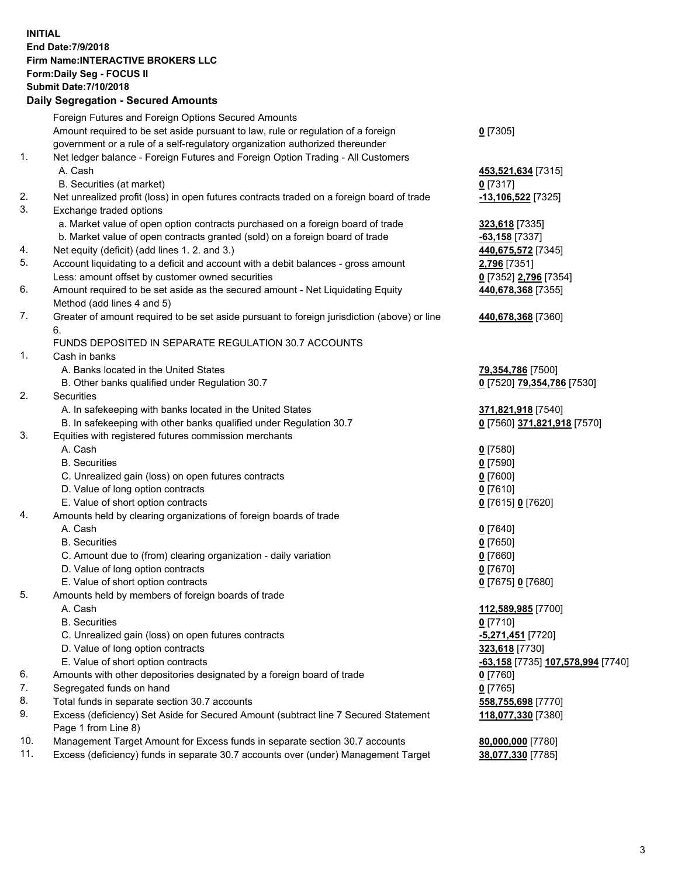## **INITIAL End Date:7/9/2018 Firm Name:INTERACTIVE BROKERS LLC Form:Daily Seg - FOCUS II Submit Date:7/10/2018 Daily Segregation - Secured Amounts**

| Foreign Futures and Foreign Options Secured Amounts<br>Amount required to be set aside pursuant to law, rule or regulation of a foreign<br>government or a rule of a self-regulatory organization authorized thereunder<br>Net ledger balance - Foreign Futures and Foreign Option Trading - All Customers<br>Net unrealized profit (loss) in open futures contracts traded on a foreign board of trade<br>a. Market value of open option contracts purchased on a foreign board of trade<br>b. Market value of open contracts granted (sold) on a foreign board of trade<br>Net equity (deficit) (add lines 1.2. and 3.)<br>Account liquidating to a deficit and account with a debit balances - gross amount<br>Less: amount offset by customer owned securities<br>Amount required to be set aside as the secured amount - Net Liquidating Equity<br>Method (add lines 4 and 5)<br>Greater of amount required to be set aside pursuant to foreign jurisdiction (above) or line<br>FUNDS DEPOSITED IN SEPARATE REGULATION 30.7 ACCOUNTS<br>A. Banks located in the United States | $0$ [7305]<br>453,521,634 [7315]<br>$0$ [7317]<br>-13,106,522 [7325]<br>323,618 [7335]<br>$-63,158$ [7337]<br>440,675,572 [7345]<br>2,796 [7351]<br>0 [7352] 2,796 [7354]<br>440,678,368 [7355]<br>440,678,368 [7360]<br>79,354,786 [7500]                                                                                                                                                                                                                                                                                                                                                                                                                                                                                                                                                                                                                                                                                                                                                                                                                                                                                                                                                                 |
|------------------------------------------------------------------------------------------------------------------------------------------------------------------------------------------------------------------------------------------------------------------------------------------------------------------------------------------------------------------------------------------------------------------------------------------------------------------------------------------------------------------------------------------------------------------------------------------------------------------------------------------------------------------------------------------------------------------------------------------------------------------------------------------------------------------------------------------------------------------------------------------------------------------------------------------------------------------------------------------------------------------------------------------------------------------------------------|------------------------------------------------------------------------------------------------------------------------------------------------------------------------------------------------------------------------------------------------------------------------------------------------------------------------------------------------------------------------------------------------------------------------------------------------------------------------------------------------------------------------------------------------------------------------------------------------------------------------------------------------------------------------------------------------------------------------------------------------------------------------------------------------------------------------------------------------------------------------------------------------------------------------------------------------------------------------------------------------------------------------------------------------------------------------------------------------------------------------------------------------------------------------------------------------------------|
|                                                                                                                                                                                                                                                                                                                                                                                                                                                                                                                                                                                                                                                                                                                                                                                                                                                                                                                                                                                                                                                                                    |                                                                                                                                                                                                                                                                                                                                                                                                                                                                                                                                                                                                                                                                                                                                                                                                                                                                                                                                                                                                                                                                                                                                                                                                            |
|                                                                                                                                                                                                                                                                                                                                                                                                                                                                                                                                                                                                                                                                                                                                                                                                                                                                                                                                                                                                                                                                                    |                                                                                                                                                                                                                                                                                                                                                                                                                                                                                                                                                                                                                                                                                                                                                                                                                                                                                                                                                                                                                                                                                                                                                                                                            |
|                                                                                                                                                                                                                                                                                                                                                                                                                                                                                                                                                                                                                                                                                                                                                                                                                                                                                                                                                                                                                                                                                    |                                                                                                                                                                                                                                                                                                                                                                                                                                                                                                                                                                                                                                                                                                                                                                                                                                                                                                                                                                                                                                                                                                                                                                                                            |
|                                                                                                                                                                                                                                                                                                                                                                                                                                                                                                                                                                                                                                                                                                                                                                                                                                                                                                                                                                                                                                                                                    |                                                                                                                                                                                                                                                                                                                                                                                                                                                                                                                                                                                                                                                                                                                                                                                                                                                                                                                                                                                                                                                                                                                                                                                                            |
|                                                                                                                                                                                                                                                                                                                                                                                                                                                                                                                                                                                                                                                                                                                                                                                                                                                                                                                                                                                                                                                                                    |                                                                                                                                                                                                                                                                                                                                                                                                                                                                                                                                                                                                                                                                                                                                                                                                                                                                                                                                                                                                                                                                                                                                                                                                            |
|                                                                                                                                                                                                                                                                                                                                                                                                                                                                                                                                                                                                                                                                                                                                                                                                                                                                                                                                                                                                                                                                                    |                                                                                                                                                                                                                                                                                                                                                                                                                                                                                                                                                                                                                                                                                                                                                                                                                                                                                                                                                                                                                                                                                                                                                                                                            |
|                                                                                                                                                                                                                                                                                                                                                                                                                                                                                                                                                                                                                                                                                                                                                                                                                                                                                                                                                                                                                                                                                    |                                                                                                                                                                                                                                                                                                                                                                                                                                                                                                                                                                                                                                                                                                                                                                                                                                                                                                                                                                                                                                                                                                                                                                                                            |
|                                                                                                                                                                                                                                                                                                                                                                                                                                                                                                                                                                                                                                                                                                                                                                                                                                                                                                                                                                                                                                                                                    |                                                                                                                                                                                                                                                                                                                                                                                                                                                                                                                                                                                                                                                                                                                                                                                                                                                                                                                                                                                                                                                                                                                                                                                                            |
|                                                                                                                                                                                                                                                                                                                                                                                                                                                                                                                                                                                                                                                                                                                                                                                                                                                                                                                                                                                                                                                                                    |                                                                                                                                                                                                                                                                                                                                                                                                                                                                                                                                                                                                                                                                                                                                                                                                                                                                                                                                                                                                                                                                                                                                                                                                            |
|                                                                                                                                                                                                                                                                                                                                                                                                                                                                                                                                                                                                                                                                                                                                                                                                                                                                                                                                                                                                                                                                                    |                                                                                                                                                                                                                                                                                                                                                                                                                                                                                                                                                                                                                                                                                                                                                                                                                                                                                                                                                                                                                                                                                                                                                                                                            |
|                                                                                                                                                                                                                                                                                                                                                                                                                                                                                                                                                                                                                                                                                                                                                                                                                                                                                                                                                                                                                                                                                    |                                                                                                                                                                                                                                                                                                                                                                                                                                                                                                                                                                                                                                                                                                                                                                                                                                                                                                                                                                                                                                                                                                                                                                                                            |
|                                                                                                                                                                                                                                                                                                                                                                                                                                                                                                                                                                                                                                                                                                                                                                                                                                                                                                                                                                                                                                                                                    |                                                                                                                                                                                                                                                                                                                                                                                                                                                                                                                                                                                                                                                                                                                                                                                                                                                                                                                                                                                                                                                                                                                                                                                                            |
|                                                                                                                                                                                                                                                                                                                                                                                                                                                                                                                                                                                                                                                                                                                                                                                                                                                                                                                                                                                                                                                                                    |                                                                                                                                                                                                                                                                                                                                                                                                                                                                                                                                                                                                                                                                                                                                                                                                                                                                                                                                                                                                                                                                                                                                                                                                            |
|                                                                                                                                                                                                                                                                                                                                                                                                                                                                                                                                                                                                                                                                                                                                                                                                                                                                                                                                                                                                                                                                                    |                                                                                                                                                                                                                                                                                                                                                                                                                                                                                                                                                                                                                                                                                                                                                                                                                                                                                                                                                                                                                                                                                                                                                                                                            |
|                                                                                                                                                                                                                                                                                                                                                                                                                                                                                                                                                                                                                                                                                                                                                                                                                                                                                                                                                                                                                                                                                    |                                                                                                                                                                                                                                                                                                                                                                                                                                                                                                                                                                                                                                                                                                                                                                                                                                                                                                                                                                                                                                                                                                                                                                                                            |
|                                                                                                                                                                                                                                                                                                                                                                                                                                                                                                                                                                                                                                                                                                                                                                                                                                                                                                                                                                                                                                                                                    |                                                                                                                                                                                                                                                                                                                                                                                                                                                                                                                                                                                                                                                                                                                                                                                                                                                                                                                                                                                                                                                                                                                                                                                                            |
|                                                                                                                                                                                                                                                                                                                                                                                                                                                                                                                                                                                                                                                                                                                                                                                                                                                                                                                                                                                                                                                                                    |                                                                                                                                                                                                                                                                                                                                                                                                                                                                                                                                                                                                                                                                                                                                                                                                                                                                                                                                                                                                                                                                                                                                                                                                            |
|                                                                                                                                                                                                                                                                                                                                                                                                                                                                                                                                                                                                                                                                                                                                                                                                                                                                                                                                                                                                                                                                                    |                                                                                                                                                                                                                                                                                                                                                                                                                                                                                                                                                                                                                                                                                                                                                                                                                                                                                                                                                                                                                                                                                                                                                                                                            |
|                                                                                                                                                                                                                                                                                                                                                                                                                                                                                                                                                                                                                                                                                                                                                                                                                                                                                                                                                                                                                                                                                    |                                                                                                                                                                                                                                                                                                                                                                                                                                                                                                                                                                                                                                                                                                                                                                                                                                                                                                                                                                                                                                                                                                                                                                                                            |
|                                                                                                                                                                                                                                                                                                                                                                                                                                                                                                                                                                                                                                                                                                                                                                                                                                                                                                                                                                                                                                                                                    |                                                                                                                                                                                                                                                                                                                                                                                                                                                                                                                                                                                                                                                                                                                                                                                                                                                                                                                                                                                                                                                                                                                                                                                                            |
|                                                                                                                                                                                                                                                                                                                                                                                                                                                                                                                                                                                                                                                                                                                                                                                                                                                                                                                                                                                                                                                                                    | 0 [7520] 79,354,786 [7530]                                                                                                                                                                                                                                                                                                                                                                                                                                                                                                                                                                                                                                                                                                                                                                                                                                                                                                                                                                                                                                                                                                                                                                                 |
|                                                                                                                                                                                                                                                                                                                                                                                                                                                                                                                                                                                                                                                                                                                                                                                                                                                                                                                                                                                                                                                                                    |                                                                                                                                                                                                                                                                                                                                                                                                                                                                                                                                                                                                                                                                                                                                                                                                                                                                                                                                                                                                                                                                                                                                                                                                            |
|                                                                                                                                                                                                                                                                                                                                                                                                                                                                                                                                                                                                                                                                                                                                                                                                                                                                                                                                                                                                                                                                                    | 371,821,918 [7540]                                                                                                                                                                                                                                                                                                                                                                                                                                                                                                                                                                                                                                                                                                                                                                                                                                                                                                                                                                                                                                                                                                                                                                                         |
|                                                                                                                                                                                                                                                                                                                                                                                                                                                                                                                                                                                                                                                                                                                                                                                                                                                                                                                                                                                                                                                                                    | 0 [7560] 371,821,918 [7570]                                                                                                                                                                                                                                                                                                                                                                                                                                                                                                                                                                                                                                                                                                                                                                                                                                                                                                                                                                                                                                                                                                                                                                                |
|                                                                                                                                                                                                                                                                                                                                                                                                                                                                                                                                                                                                                                                                                                                                                                                                                                                                                                                                                                                                                                                                                    |                                                                                                                                                                                                                                                                                                                                                                                                                                                                                                                                                                                                                                                                                                                                                                                                                                                                                                                                                                                                                                                                                                                                                                                                            |
|                                                                                                                                                                                                                                                                                                                                                                                                                                                                                                                                                                                                                                                                                                                                                                                                                                                                                                                                                                                                                                                                                    | $0$ [7580]                                                                                                                                                                                                                                                                                                                                                                                                                                                                                                                                                                                                                                                                                                                                                                                                                                                                                                                                                                                                                                                                                                                                                                                                 |
|                                                                                                                                                                                                                                                                                                                                                                                                                                                                                                                                                                                                                                                                                                                                                                                                                                                                                                                                                                                                                                                                                    | $0$ [7590]                                                                                                                                                                                                                                                                                                                                                                                                                                                                                                                                                                                                                                                                                                                                                                                                                                                                                                                                                                                                                                                                                                                                                                                                 |
|                                                                                                                                                                                                                                                                                                                                                                                                                                                                                                                                                                                                                                                                                                                                                                                                                                                                                                                                                                                                                                                                                    | $0$ [7600]                                                                                                                                                                                                                                                                                                                                                                                                                                                                                                                                                                                                                                                                                                                                                                                                                                                                                                                                                                                                                                                                                                                                                                                                 |
|                                                                                                                                                                                                                                                                                                                                                                                                                                                                                                                                                                                                                                                                                                                                                                                                                                                                                                                                                                                                                                                                                    | $0$ [7610]                                                                                                                                                                                                                                                                                                                                                                                                                                                                                                                                                                                                                                                                                                                                                                                                                                                                                                                                                                                                                                                                                                                                                                                                 |
|                                                                                                                                                                                                                                                                                                                                                                                                                                                                                                                                                                                                                                                                                                                                                                                                                                                                                                                                                                                                                                                                                    | 0 [7615] 0 [7620]                                                                                                                                                                                                                                                                                                                                                                                                                                                                                                                                                                                                                                                                                                                                                                                                                                                                                                                                                                                                                                                                                                                                                                                          |
|                                                                                                                                                                                                                                                                                                                                                                                                                                                                                                                                                                                                                                                                                                                                                                                                                                                                                                                                                                                                                                                                                    |                                                                                                                                                                                                                                                                                                                                                                                                                                                                                                                                                                                                                                                                                                                                                                                                                                                                                                                                                                                                                                                                                                                                                                                                            |
|                                                                                                                                                                                                                                                                                                                                                                                                                                                                                                                                                                                                                                                                                                                                                                                                                                                                                                                                                                                                                                                                                    | $0$ [7640]                                                                                                                                                                                                                                                                                                                                                                                                                                                                                                                                                                                                                                                                                                                                                                                                                                                                                                                                                                                                                                                                                                                                                                                                 |
|                                                                                                                                                                                                                                                                                                                                                                                                                                                                                                                                                                                                                                                                                                                                                                                                                                                                                                                                                                                                                                                                                    | $0$ [7650]                                                                                                                                                                                                                                                                                                                                                                                                                                                                                                                                                                                                                                                                                                                                                                                                                                                                                                                                                                                                                                                                                                                                                                                                 |
|                                                                                                                                                                                                                                                                                                                                                                                                                                                                                                                                                                                                                                                                                                                                                                                                                                                                                                                                                                                                                                                                                    | $0$ [7660]                                                                                                                                                                                                                                                                                                                                                                                                                                                                                                                                                                                                                                                                                                                                                                                                                                                                                                                                                                                                                                                                                                                                                                                                 |
|                                                                                                                                                                                                                                                                                                                                                                                                                                                                                                                                                                                                                                                                                                                                                                                                                                                                                                                                                                                                                                                                                    | $0$ [7670]                                                                                                                                                                                                                                                                                                                                                                                                                                                                                                                                                                                                                                                                                                                                                                                                                                                                                                                                                                                                                                                                                                                                                                                                 |
|                                                                                                                                                                                                                                                                                                                                                                                                                                                                                                                                                                                                                                                                                                                                                                                                                                                                                                                                                                                                                                                                                    | 0 [7675] 0 [7680]                                                                                                                                                                                                                                                                                                                                                                                                                                                                                                                                                                                                                                                                                                                                                                                                                                                                                                                                                                                                                                                                                                                                                                                          |
|                                                                                                                                                                                                                                                                                                                                                                                                                                                                                                                                                                                                                                                                                                                                                                                                                                                                                                                                                                                                                                                                                    |                                                                                                                                                                                                                                                                                                                                                                                                                                                                                                                                                                                                                                                                                                                                                                                                                                                                                                                                                                                                                                                                                                                                                                                                            |
|                                                                                                                                                                                                                                                                                                                                                                                                                                                                                                                                                                                                                                                                                                                                                                                                                                                                                                                                                                                                                                                                                    | 112,589,985 [7700]                                                                                                                                                                                                                                                                                                                                                                                                                                                                                                                                                                                                                                                                                                                                                                                                                                                                                                                                                                                                                                                                                                                                                                                         |
|                                                                                                                                                                                                                                                                                                                                                                                                                                                                                                                                                                                                                                                                                                                                                                                                                                                                                                                                                                                                                                                                                    | $0$ [7710]                                                                                                                                                                                                                                                                                                                                                                                                                                                                                                                                                                                                                                                                                                                                                                                                                                                                                                                                                                                                                                                                                                                                                                                                 |
|                                                                                                                                                                                                                                                                                                                                                                                                                                                                                                                                                                                                                                                                                                                                                                                                                                                                                                                                                                                                                                                                                    | -5,271,451 [7720]                                                                                                                                                                                                                                                                                                                                                                                                                                                                                                                                                                                                                                                                                                                                                                                                                                                                                                                                                                                                                                                                                                                                                                                          |
|                                                                                                                                                                                                                                                                                                                                                                                                                                                                                                                                                                                                                                                                                                                                                                                                                                                                                                                                                                                                                                                                                    | 323,618 [7730]                                                                                                                                                                                                                                                                                                                                                                                                                                                                                                                                                                                                                                                                                                                                                                                                                                                                                                                                                                                                                                                                                                                                                                                             |
|                                                                                                                                                                                                                                                                                                                                                                                                                                                                                                                                                                                                                                                                                                                                                                                                                                                                                                                                                                                                                                                                                    | <u>-63,158</u> [7735] 107,578,994 [7740]                                                                                                                                                                                                                                                                                                                                                                                                                                                                                                                                                                                                                                                                                                                                                                                                                                                                                                                                                                                                                                                                                                                                                                   |
|                                                                                                                                                                                                                                                                                                                                                                                                                                                                                                                                                                                                                                                                                                                                                                                                                                                                                                                                                                                                                                                                                    | $0$ [7760]                                                                                                                                                                                                                                                                                                                                                                                                                                                                                                                                                                                                                                                                                                                                                                                                                                                                                                                                                                                                                                                                                                                                                                                                 |
|                                                                                                                                                                                                                                                                                                                                                                                                                                                                                                                                                                                                                                                                                                                                                                                                                                                                                                                                                                                                                                                                                    | $0$ [7765]                                                                                                                                                                                                                                                                                                                                                                                                                                                                                                                                                                                                                                                                                                                                                                                                                                                                                                                                                                                                                                                                                                                                                                                                 |
|                                                                                                                                                                                                                                                                                                                                                                                                                                                                                                                                                                                                                                                                                                                                                                                                                                                                                                                                                                                                                                                                                    | 558,755,698 [7770]                                                                                                                                                                                                                                                                                                                                                                                                                                                                                                                                                                                                                                                                                                                                                                                                                                                                                                                                                                                                                                                                                                                                                                                         |
|                                                                                                                                                                                                                                                                                                                                                                                                                                                                                                                                                                                                                                                                                                                                                                                                                                                                                                                                                                                                                                                                                    | 118,077,330 [7380]                                                                                                                                                                                                                                                                                                                                                                                                                                                                                                                                                                                                                                                                                                                                                                                                                                                                                                                                                                                                                                                                                                                                                                                         |
|                                                                                                                                                                                                                                                                                                                                                                                                                                                                                                                                                                                                                                                                                                                                                                                                                                                                                                                                                                                                                                                                                    |                                                                                                                                                                                                                                                                                                                                                                                                                                                                                                                                                                                                                                                                                                                                                                                                                                                                                                                                                                                                                                                                                                                                                                                                            |
|                                                                                                                                                                                                                                                                                                                                                                                                                                                                                                                                                                                                                                                                                                                                                                                                                                                                                                                                                                                                                                                                                    | 80,000,000 [7780]                                                                                                                                                                                                                                                                                                                                                                                                                                                                                                                                                                                                                                                                                                                                                                                                                                                                                                                                                                                                                                                                                                                                                                                          |
|                                                                                                                                                                                                                                                                                                                                                                                                                                                                                                                                                                                                                                                                                                                                                                                                                                                                                                                                                                                                                                                                                    | 38,077,330 [7785]                                                                                                                                                                                                                                                                                                                                                                                                                                                                                                                                                                                                                                                                                                                                                                                                                                                                                                                                                                                                                                                                                                                                                                                          |
|                                                                                                                                                                                                                                                                                                                                                                                                                                                                                                                                                                                                                                                                                                                                                                                                                                                                                                                                                                                                                                                                                    | B. Other banks qualified under Regulation 30.7<br>A. In safekeeping with banks located in the United States<br>B. In safekeeping with other banks qualified under Regulation 30.7<br>Equities with registered futures commission merchants<br>C. Unrealized gain (loss) on open futures contracts<br>D. Value of long option contracts<br>E. Value of short option contracts<br>Amounts held by clearing organizations of foreign boards of trade<br>C. Amount due to (from) clearing organization - daily variation<br>D. Value of long option contracts<br>E. Value of short option contracts<br>Amounts held by members of foreign boards of trade<br>C. Unrealized gain (loss) on open futures contracts<br>D. Value of long option contracts<br>E. Value of short option contracts<br>Amounts with other depositories designated by a foreign board of trade<br>Segregated funds on hand<br>Total funds in separate section 30.7 accounts<br>Excess (deficiency) Set Aside for Secured Amount (subtract line 7 Secured Statement<br>Management Target Amount for Excess funds in separate section 30.7 accounts<br>Excess (deficiency) funds in separate 30.7 accounts over (under) Management Target |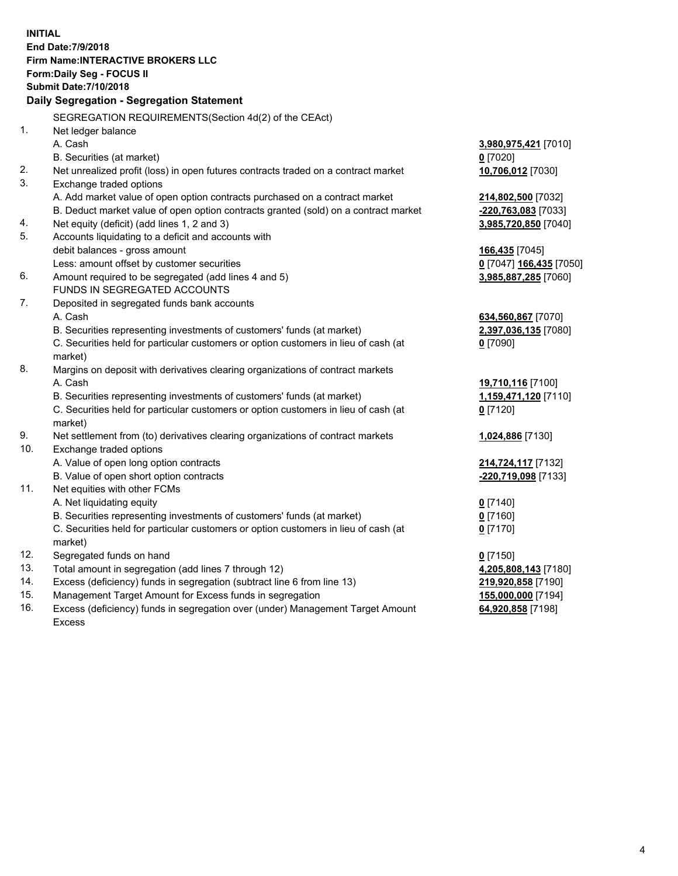**INITIAL End Date:7/9/2018 Firm Name:INTERACTIVE BROKERS LLC Form:Daily Seg - FOCUS II Submit Date:7/10/2018 Daily Segregation - Segregation Statement** SEGREGATION REQUIREMENTS(Section 4d(2) of the CEAct) 1. Net ledger balance A. Cash **3,980,975,421** [7010] B. Securities (at market) **0** [7020] 2. Net unrealized profit (loss) in open futures contracts traded on a contract market **10,706,012** [7030] 3. Exchange traded options A. Add market value of open option contracts purchased on a contract market **214,802,500** [7032] B. Deduct market value of open option contracts granted (sold) on a contract market **-220,763,083** [7033] 4. Net equity (deficit) (add lines 1, 2 and 3) **3,985,720,850** [7040] 5. Accounts liquidating to a deficit and accounts with debit balances - gross amount **166,435** [7045] Less: amount offset by customer securities **0** [7047] **166,435** [7050] 6. Amount required to be segregated (add lines 4 and 5) **3,985,887,285** [7060] FUNDS IN SEGREGATED ACCOUNTS 7. Deposited in segregated funds bank accounts A. Cash **634,560,867** [7070] B. Securities representing investments of customers' funds (at market) **2,397,036,135** [7080] C. Securities held for particular customers or option customers in lieu of cash (at market) **0** [7090] 8. Margins on deposit with derivatives clearing organizations of contract markets A. Cash **19,710,116** [7100] B. Securities representing investments of customers' funds (at market) **1,159,471,120** [7110] C. Securities held for particular customers or option customers in lieu of cash (at market) **0** [7120] 9. Net settlement from (to) derivatives clearing organizations of contract markets **1,024,886** [7130] 10. Exchange traded options A. Value of open long option contracts **214,724,117** [7132] B. Value of open short option contracts **-220,719,098** [7133] 11. Net equities with other FCMs A. Net liquidating equity **0** [7140] B. Securities representing investments of customers' funds (at market) **0** [7160] C. Securities held for particular customers or option customers in lieu of cash (at market) **0** [7170] 12. Segregated funds on hand **0** [7150] 13. Total amount in segregation (add lines 7 through 12) **4,205,808,143** [7180] 14. Excess (deficiency) funds in segregation (subtract line 6 from line 13) **219,920,858** [7190] 15. Management Target Amount for Excess funds in segregation **155,000,000** [7194]

16. Excess (deficiency) funds in segregation over (under) Management Target Amount Excess

**64,920,858** [7198]